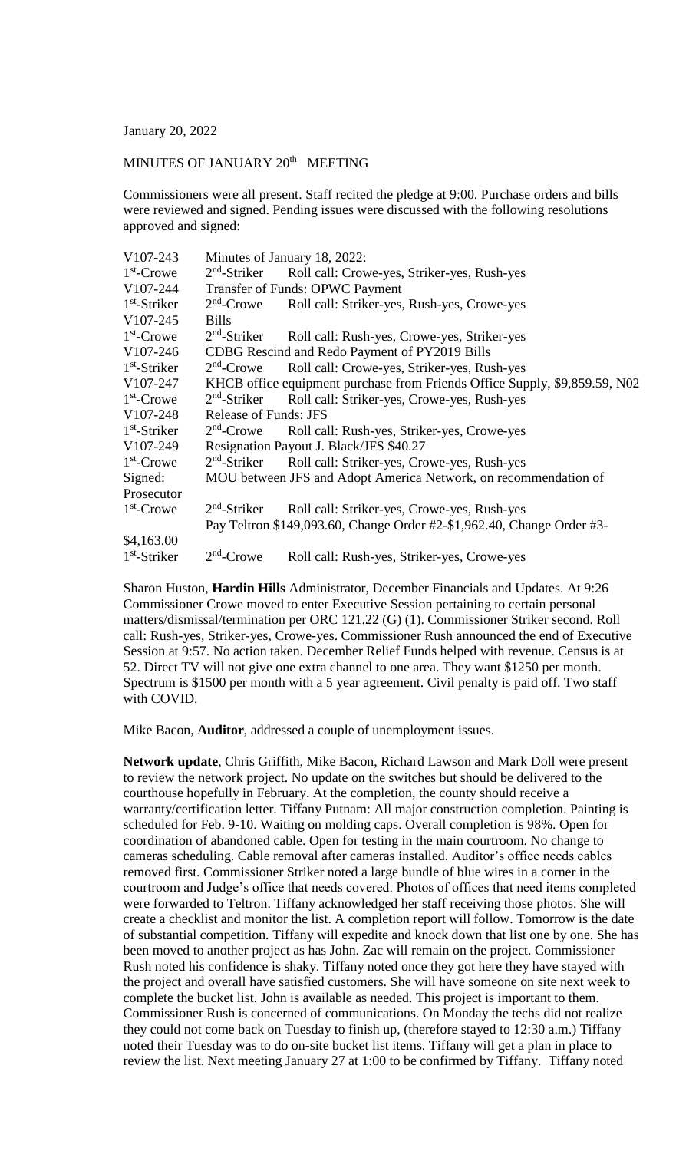January 20, 2022

## MINUTES OF JANUARY 20<sup>th</sup> MEETING

Commissioners were all present. Staff recited the pledge at 9:00. Purchase orders and bills were reviewed and signed. Pending issues were discussed with the following resolutions approved and signed:

| V107-243              | Minutes of January 18, 2022:                                               |                                             |  |
|-----------------------|----------------------------------------------------------------------------|---------------------------------------------|--|
| $1st$ -Crowe          | $2nd$ -Striker                                                             | Roll call: Crowe-yes, Striker-yes, Rush-yes |  |
| V107-244              | Transfer of Funds: OPWC Payment                                            |                                             |  |
| $1st$ -Striker        | $2nd$ -Crowe                                                               | Roll call: Striker-yes, Rush-yes, Crowe-yes |  |
| V107-245              | <b>Bills</b>                                                               |                                             |  |
| $1st$ -Crowe          | $2nd$ -Striker                                                             | Roll call: Rush-yes, Crowe-yes, Striker-yes |  |
| V107-246              | CDBG Rescind and Redo Payment of PY2019 Bills                              |                                             |  |
| $1st$ -Striker        | $2nd$ -Crowe                                                               | Roll call: Crowe-yes, Striker-yes, Rush-yes |  |
| V107-247              | KHCB office equipment purchase from Friends Office Supply, \$9,859.59, N02 |                                             |  |
| $1st$ -Crowe          | $2nd$ -Striker                                                             | Roll call: Striker-yes, Crowe-yes, Rush-yes |  |
| V107-248              | <b>Release of Funds: JFS</b>                                               |                                             |  |
| $1st$ -Striker        | $2nd$ -Crowe                                                               | Roll call: Rush-yes, Striker-yes, Crowe-yes |  |
| V <sub>107</sub> -249 | Resignation Payout J. Black/JFS \$40.27                                    |                                             |  |
| $1st$ -Crowe          | $2nd$ -Striker                                                             | Roll call: Striker-yes, Crowe-yes, Rush-yes |  |
| Signed:               | MOU between JFS and Adopt America Network, on recommendation of            |                                             |  |
| Prosecutor            |                                                                            |                                             |  |
| $1st$ -Crowe          | $2nd$ -Striker                                                             | Roll call: Striker-yes, Crowe-yes, Rush-yes |  |
|                       | Pay Teltron \$149,093.60, Change Order #2-\$1,962.40, Change Order #3-     |                                             |  |
| \$4,163.00            |                                                                            |                                             |  |
| $1st$ -Striker        | $2nd$ -Crowe                                                               | Roll call: Rush-yes, Striker-yes, Crowe-yes |  |

Sharon Huston, **Hardin Hills** Administrator, December Financials and Updates. At 9:26 Commissioner Crowe moved to enter Executive Session pertaining to certain personal matters/dismissal/termination per ORC 121.22 (G) (1). Commissioner Striker second. Roll call: Rush-yes, Striker-yes, Crowe-yes. Commissioner Rush announced the end of Executive Session at 9:57. No action taken. December Relief Funds helped with revenue. Census is at 52. Direct TV will not give one extra channel to one area. They want \$1250 per month. Spectrum is \$1500 per month with a 5 year agreement. Civil penalty is paid off. Two staff with COVID.

Mike Bacon, **Auditor**, addressed a couple of unemployment issues.

**Network update**, Chris Griffith, Mike Bacon, Richard Lawson and Mark Doll were present to review the network project. No update on the switches but should be delivered to the courthouse hopefully in February. At the completion, the county should receive a warranty/certification letter. Tiffany Putnam: All major construction completion. Painting is scheduled for Feb. 9-10. Waiting on molding caps. Overall completion is 98%. Open for coordination of abandoned cable. Open for testing in the main courtroom. No change to cameras scheduling. Cable removal after cameras installed. Auditor's office needs cables removed first. Commissioner Striker noted a large bundle of blue wires in a corner in the courtroom and Judge's office that needs covered. Photos of offices that need items completed were forwarded to Teltron. Tiffany acknowledged her staff receiving those photos. She will create a checklist and monitor the list. A completion report will follow. Tomorrow is the date of substantial competition. Tiffany will expedite and knock down that list one by one. She has been moved to another project as has John. Zac will remain on the project. Commissioner Rush noted his confidence is shaky. Tiffany noted once they got here they have stayed with the project and overall have satisfied customers. She will have someone on site next week to complete the bucket list. John is available as needed. This project is important to them. Commissioner Rush is concerned of communications. On Monday the techs did not realize they could not come back on Tuesday to finish up, (therefore stayed to 12:30 a.m.) Tiffany noted their Tuesday was to do on-site bucket list items. Tiffany will get a plan in place to review the list. Next meeting January 27 at 1:00 to be confirmed by Tiffany. Tiffany noted